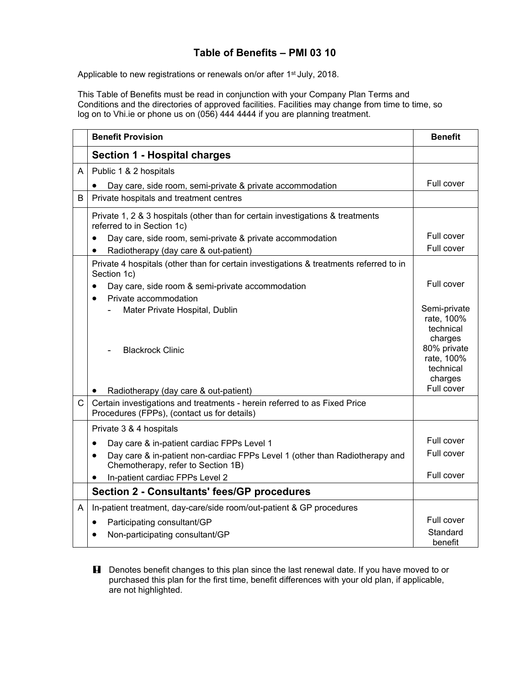## **Table of Benefits – PMI 03 10**

Applicable to new registrations or renewals on/or after 1<sup>st</sup> July, 2018.

This Table of Benefits must be read in conjunction with your Company Plan Terms and Conditions and the directories of approved facilities. Facilities may change from time to time, so log on to Vhi.ie or phone us on (056) 444 4444 if you are planning treatment.

|   | <b>Benefit Provision</b>                                                                                                       | <b>Benefit</b>                                     |
|---|--------------------------------------------------------------------------------------------------------------------------------|----------------------------------------------------|
|   | <b>Section 1 - Hospital charges</b>                                                                                            |                                                    |
| A | Public 1 & 2 hospitals                                                                                                         |                                                    |
|   | Day care, side room, semi-private & private accommodation                                                                      | Full cover                                         |
| B | Private hospitals and treatment centres                                                                                        |                                                    |
|   | Private 1, 2 & 3 hospitals (other than for certain investigations & treatments<br>referred to in Section 1c)                   |                                                    |
|   | Day care, side room, semi-private & private accommodation<br>$\bullet$                                                         | Full cover                                         |
|   | Radiotherapy (day care & out-patient)<br>$\bullet$                                                                             | Full cover                                         |
|   | Private 4 hospitals (other than for certain investigations & treatments referred to in<br>Section 1c)                          |                                                    |
|   | Day care, side room & semi-private accommodation<br>$\bullet$                                                                  | Full cover                                         |
|   | Private accommodation<br>$\bullet$                                                                                             |                                                    |
|   | Mater Private Hospital, Dublin                                                                                                 | Semi-private<br>rate, 100%<br>technical<br>charges |
|   | <b>Blackrock Clinic</b>                                                                                                        | 80% private<br>rate, 100%<br>technical<br>charges  |
|   | Radiotherapy (day care & out-patient)                                                                                          | Full cover                                         |
| C | Certain investigations and treatments - herein referred to as Fixed Price<br>Procedures (FPPs), (contact us for details)       |                                                    |
|   | Private 3 & 4 hospitals                                                                                                        |                                                    |
|   | Day care & in-patient cardiac FPPs Level 1<br>$\bullet$                                                                        | Full cover                                         |
|   | Day care & in-patient non-cardiac FPPs Level 1 (other than Radiotherapy and<br>$\bullet$<br>Chemotherapy, refer to Section 1B) | Full cover                                         |
|   | In-patient cardiac FPPs Level 2<br>$\bullet$                                                                                   | Full cover                                         |
|   | <b>Section 2 - Consultants' fees/GP procedures</b>                                                                             |                                                    |
| A | In-patient treatment, day-care/side room/out-patient & GP procedures                                                           |                                                    |
|   | Participating consultant/GP<br>$\bullet$                                                                                       | Full cover                                         |
|   | Non-participating consultant/GP                                                                                                | Standard<br>benefit                                |

**H** Denotes benefit changes to this plan since the last renewal date. If you have moved to or purchased this plan for the first time, benefit differences with your old plan, if applicable, are not highlighted.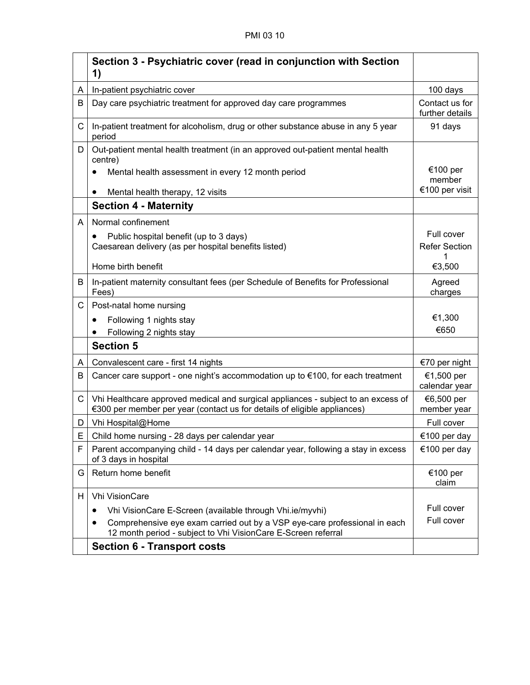|              | Section 3 - Psychiatric cover (read in conjunction with Section<br>1)                                                                                         |                                   |
|--------------|---------------------------------------------------------------------------------------------------------------------------------------------------------------|-----------------------------------|
| A            | In-patient psychiatric cover                                                                                                                                  | 100 days                          |
| B            | Day care psychiatric treatment for approved day care programmes                                                                                               | Contact us for<br>further details |
| C            | In-patient treatment for alcoholism, drug or other substance abuse in any 5 year<br>period                                                                    | 91 days                           |
| D            | Out-patient mental health treatment (in an approved out-patient mental health<br>centre)                                                                      |                                   |
|              | Mental health assessment in every 12 month period                                                                                                             | €100 per<br>member                |
|              | Mental health therapy, 12 visits                                                                                                                              | €100 per visit                    |
|              | <b>Section 4 - Maternity</b>                                                                                                                                  |                                   |
| A            | Normal confinement                                                                                                                                            |                                   |
|              | Public hospital benefit (up to 3 days)<br>$\bullet$                                                                                                           | Full cover                        |
|              | Caesarean delivery (as per hospital benefits listed)                                                                                                          | <b>Refer Section</b>              |
|              | Home birth benefit                                                                                                                                            | €3,500                            |
| B            | In-patient maternity consultant fees (per Schedule of Benefits for Professional<br>Fees)                                                                      | Agreed<br>charges                 |
| C.           | Post-natal home nursing                                                                                                                                       |                                   |
|              | Following 1 nights stay<br>٠                                                                                                                                  | €1,300                            |
|              | Following 2 nights stay                                                                                                                                       | €650                              |
|              | <b>Section 5</b>                                                                                                                                              |                                   |
| A            | Convalescent care - first 14 nights                                                                                                                           | €70 per night                     |
| B            | Cancer care support - one night's accommodation up to $\epsilon$ 100, for each treatment                                                                      | €1,500 per<br>calendar year       |
| $\mathsf{C}$ | Vhi Healthcare approved medical and surgical appliances - subject to an excess of<br>€300 per member per year (contact us for details of eligible appliances) | €6,500 per<br>member year         |
| D.           | Vhi Hospital@Home                                                                                                                                             | Full cover                        |
| E.           | Child home nursing - 28 days per calendar year                                                                                                                | €100 per day                      |
| F            | Parent accompanying child - 14 days per calendar year, following a stay in excess<br>of 3 days in hospital                                                    | €100 per day                      |
| G            | Return home benefit                                                                                                                                           | €100 per<br>claim                 |
| H            | <b>Vhi VisionCare</b>                                                                                                                                         |                                   |
|              | Vhi VisionCare E-Screen (available through Vhi.ie/myvhi)<br>٠                                                                                                 | Full cover                        |
|              | Comprehensive eye exam carried out by a VSP eye-care professional in each<br>12 month period - subject to Vhi VisionCare E-Screen referral                    | Full cover                        |
|              | <b>Section 6 - Transport costs</b>                                                                                                                            |                                   |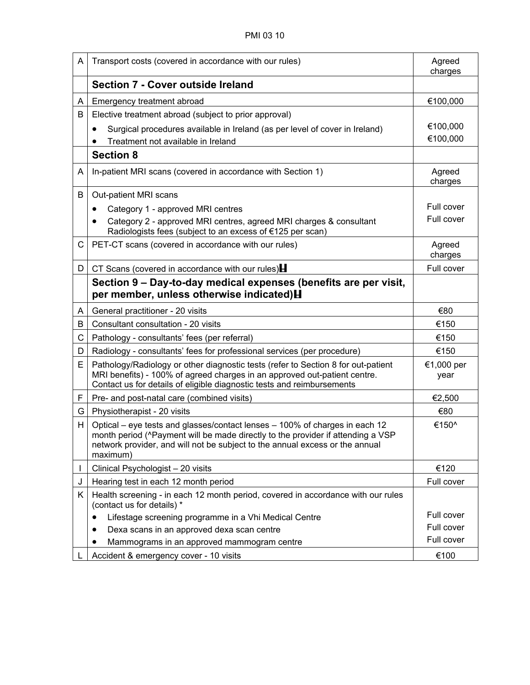| A  | Transport costs (covered in accordance with our rules)                                                                                                                                                                                                     | Agreed<br>charges  |
|----|------------------------------------------------------------------------------------------------------------------------------------------------------------------------------------------------------------------------------------------------------------|--------------------|
|    | Section 7 - Cover outside Ireland                                                                                                                                                                                                                          |                    |
| A  | Emergency treatment abroad                                                                                                                                                                                                                                 | €100,000           |
| В  | Elective treatment abroad (subject to prior approval)                                                                                                                                                                                                      |                    |
|    | Surgical procedures available in Ireland (as per level of cover in Ireland)                                                                                                                                                                                | €100,000           |
|    | Treatment not available in Ireland                                                                                                                                                                                                                         | €100,000           |
|    | <b>Section 8</b>                                                                                                                                                                                                                                           |                    |
| A  | In-patient MRI scans (covered in accordance with Section 1)                                                                                                                                                                                                | Agreed<br>charges  |
| В  | Out-patient MRI scans                                                                                                                                                                                                                                      |                    |
|    | Category 1 - approved MRI centres                                                                                                                                                                                                                          | Full cover         |
|    | Category 2 - approved MRI centres, agreed MRI charges & consultant<br>Radiologists fees (subject to an excess of €125 per scan)                                                                                                                            | Full cover         |
| C  | PET-CT scans (covered in accordance with our rules)                                                                                                                                                                                                        | Agreed<br>charges  |
| D  | CT Scans (covered in accordance with our rules)                                                                                                                                                                                                            | Full cover         |
|    | Section 9 – Day-to-day medical expenses (benefits are per visit,<br>per member, unless otherwise indicated) H                                                                                                                                              |                    |
| A  | General practitioner - 20 visits                                                                                                                                                                                                                           | €80                |
| В  | Consultant consultation - 20 visits                                                                                                                                                                                                                        | €150               |
| C  | Pathology - consultants' fees (per referral)                                                                                                                                                                                                               | €150               |
| D  | Radiology - consultants' fees for professional services (per procedure)                                                                                                                                                                                    | €150               |
| E. | Pathology/Radiology or other diagnostic tests (refer to Section 8 for out-patient<br>MRI benefits) - 100% of agreed charges in an approved out-patient centre.<br>Contact us for details of eligible diagnostic tests and reimbursements                   | €1,000 per<br>year |
| F. | Pre- and post-natal care (combined visits)                                                                                                                                                                                                                 | €2,500             |
| G  | Physiotherapist - 20 visits                                                                                                                                                                                                                                | €80                |
| H. | Optical – eye tests and glasses/contact lenses – 100% of charges in each 12<br>month period (^Payment will be made directly to the provider if attending a VSP<br>network provider, and will not be subject to the annual excess or the annual<br>maximum) | €150^              |
|    | Clinical Psychologist - 20 visits                                                                                                                                                                                                                          | €120               |
| J  | Hearing test in each 12 month period                                                                                                                                                                                                                       | Full cover         |
| Κ  | Health screening - in each 12 month period, covered in accordance with our rules<br>(contact us for details) *                                                                                                                                             |                    |
|    | Lifestage screening programme in a Vhi Medical Centre<br>$\bullet$                                                                                                                                                                                         | Full cover         |
|    | Dexa scans in an approved dexa scan centre                                                                                                                                                                                                                 | Full cover         |
|    | Mammograms in an approved mammogram centre                                                                                                                                                                                                                 | Full cover         |
|    | Accident & emergency cover - 10 visits                                                                                                                                                                                                                     | €100               |